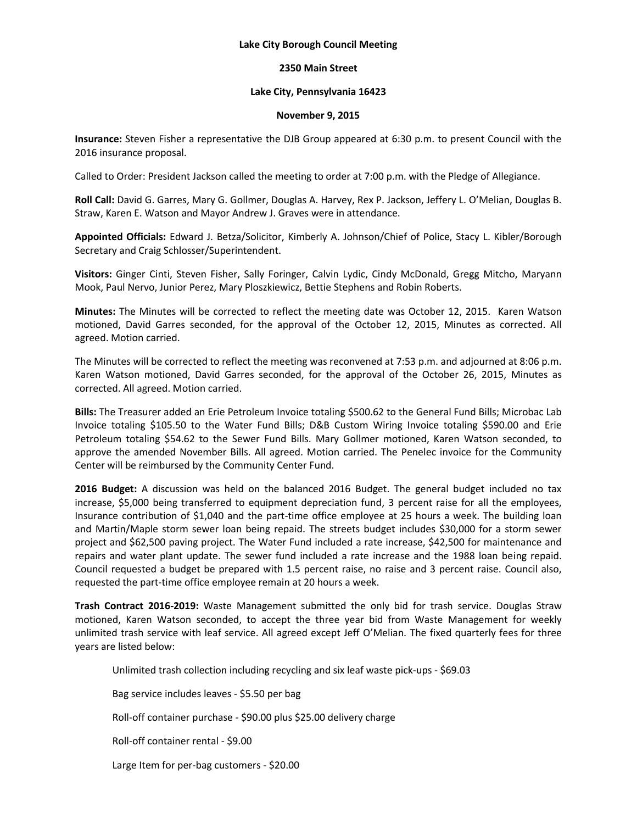### **Lake City Borough Council Meeting**

# **2350 Main Street**

# **Lake City, Pennsylvania 16423**

### **November 9, 2015**

**Insurance:** Steven Fisher a representative the DJB Group appeared at 6:30 p.m. to present Council with the 2016 insurance proposal.

Called to Order: President Jackson called the meeting to order at 7:00 p.m. with the Pledge of Allegiance.

**Roll Call:** David G. Garres, Mary G. Gollmer, Douglas A. Harvey, Rex P. Jackson, Jeffery L. O'Melian, Douglas B. Straw, Karen E. Watson and Mayor Andrew J. Graves were in attendance.

**Appointed Officials:** Edward J. Betza/Solicitor, Kimberly A. Johnson/Chief of Police, Stacy L. Kibler/Borough Secretary and Craig Schlosser/Superintendent.

**Visitors:** Ginger Cinti, Steven Fisher, Sally Foringer, Calvin Lydic, Cindy McDonald, Gregg Mitcho, Maryann Mook, Paul Nervo, Junior Perez, Mary Ploszkiewicz, Bettie Stephens and Robin Roberts.

**Minutes:** The Minutes will be corrected to reflect the meeting date was October 12, 2015. Karen Watson motioned, David Garres seconded, for the approval of the October 12, 2015, Minutes as corrected. All agreed. Motion carried.

The Minutes will be corrected to reflect the meeting was reconvened at 7:53 p.m. and adjourned at 8:06 p.m. Karen Watson motioned, David Garres seconded, for the approval of the October 26, 2015, Minutes as corrected. All agreed. Motion carried.

**Bills:** The Treasurer added an Erie Petroleum Invoice totaling \$500.62 to the General Fund Bills; Microbac Lab Invoice totaling \$105.50 to the Water Fund Bills; D&B Custom Wiring Invoice totaling \$590.00 and Erie Petroleum totaling \$54.62 to the Sewer Fund Bills. Mary Gollmer motioned, Karen Watson seconded, to approve the amended November Bills. All agreed. Motion carried. The Penelec invoice for the Community Center will be reimbursed by the Community Center Fund.

**2016 Budget:** A discussion was held on the balanced 2016 Budget. The general budget included no tax increase, \$5,000 being transferred to equipment depreciation fund, 3 percent raise for all the employees, Insurance contribution of \$1,040 and the part-time office employee at 25 hours a week. The building loan and Martin/Maple storm sewer loan being repaid. The streets budget includes \$30,000 for a storm sewer project and \$62,500 paving project. The Water Fund included a rate increase, \$42,500 for maintenance and repairs and water plant update. The sewer fund included a rate increase and the 1988 loan being repaid. Council requested a budget be prepared with 1.5 percent raise, no raise and 3 percent raise. Council also, requested the part-time office employee remain at 20 hours a week.

**Trash Contract 2016-2019:** Waste Management submitted the only bid for trash service. Douglas Straw motioned, Karen Watson seconded, to accept the three year bid from Waste Management for weekly unlimited trash service with leaf service. All agreed except Jeff O'Melian. The fixed quarterly fees for three years are listed below:

Unlimited trash collection including recycling and six leaf waste pick-ups - \$69.03

Bag service includes leaves - \$5.50 per bag

Roll-off container purchase - \$90.00 plus \$25.00 delivery charge

Roll-off container rental - \$9.00

Large Item for per-bag customers - \$20.00